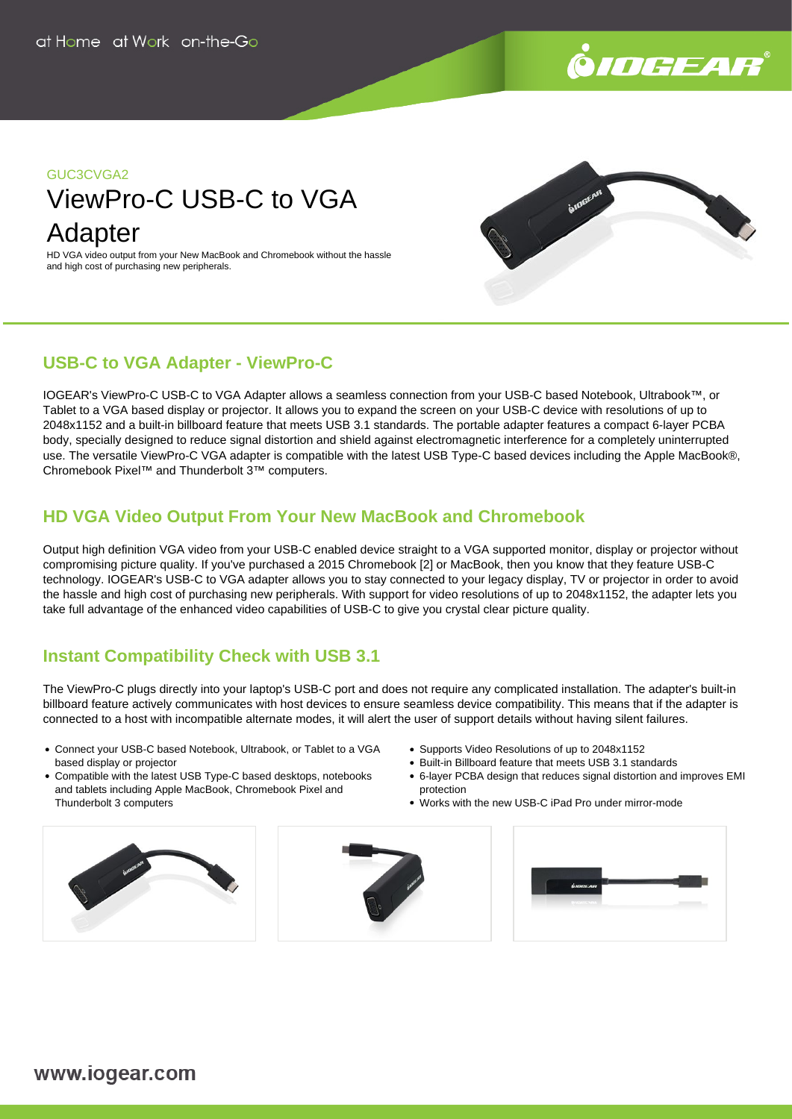

### GUC3CVGA2

# ViewPro-C USB-C to VGA Adapter

HD VGA video output from your New MacBook and Chromebook without the hassle and high cost of purchasing new peripherals.



# **USB-C to VGA Adapter - ViewPro-C**

IOGEAR's ViewPro-C USB-C to VGA Adapter allows a seamless connection from your USB-C based Notebook, Ultrabook™, or Tablet to a VGA based display or projector. It allows you to expand the screen on your USB-C device with resolutions of up to 2048x1152 and a built-in billboard feature that meets USB 3.1 standards. The portable adapter features a compact 6-layer PCBA body, specially designed to reduce signal distortion and shield against electromagnetic interference for a completely uninterrupted use. The versatile ViewPro-C VGA adapter is compatible with the latest USB Type-C based devices including the Apple MacBook®, Chromebook Pixel™ and Thunderbolt 3™ computers.

# **HD VGA Video Output From Your New MacBook and Chromebook**

Output high definition VGA video from your USB-C enabled device straight to a VGA supported monitor, display or projector without compromising picture quality. If you've purchased a 2015 Chromebook [2] or MacBook, then you know that they feature USB-C technology. IOGEAR's USB-C to VGA adapter allows you to stay connected to your legacy display, TV or projector in order to avoid the hassle and high cost of purchasing new peripherals. With support for video resolutions of up to 2048x1152, the adapter lets you take full advantage of the enhanced video capabilities of USB-C to give you crystal clear picture quality.

# **Instant Compatibility Check with USB 3.1**

The ViewPro-C plugs directly into your laptop's USB-C port and does not require any complicated installation. The adapter's built-in billboard feature actively communicates with host devices to ensure seamless device compatibility. This means that if the adapter is connected to a host with incompatible alternate modes, it will alert the user of support details without having silent failures.

- Connect your USB-C based Notebook, Ultrabook, or Tablet to a VGA based display or projector
- Compatible with the latest USB Type-C based desktops, notebooks and tablets including Apple MacBook, Chromebook Pixel and Thunderbolt 3 computers
- Supports Video Resolutions of up to 2048x1152
- Built-in Billboard feature that meets USB 3.1 standards
- 6-layer PCBA design that reduces signal distortion and improves EMI protection
- Works with the new USB-C iPad Pro under mirror-mode





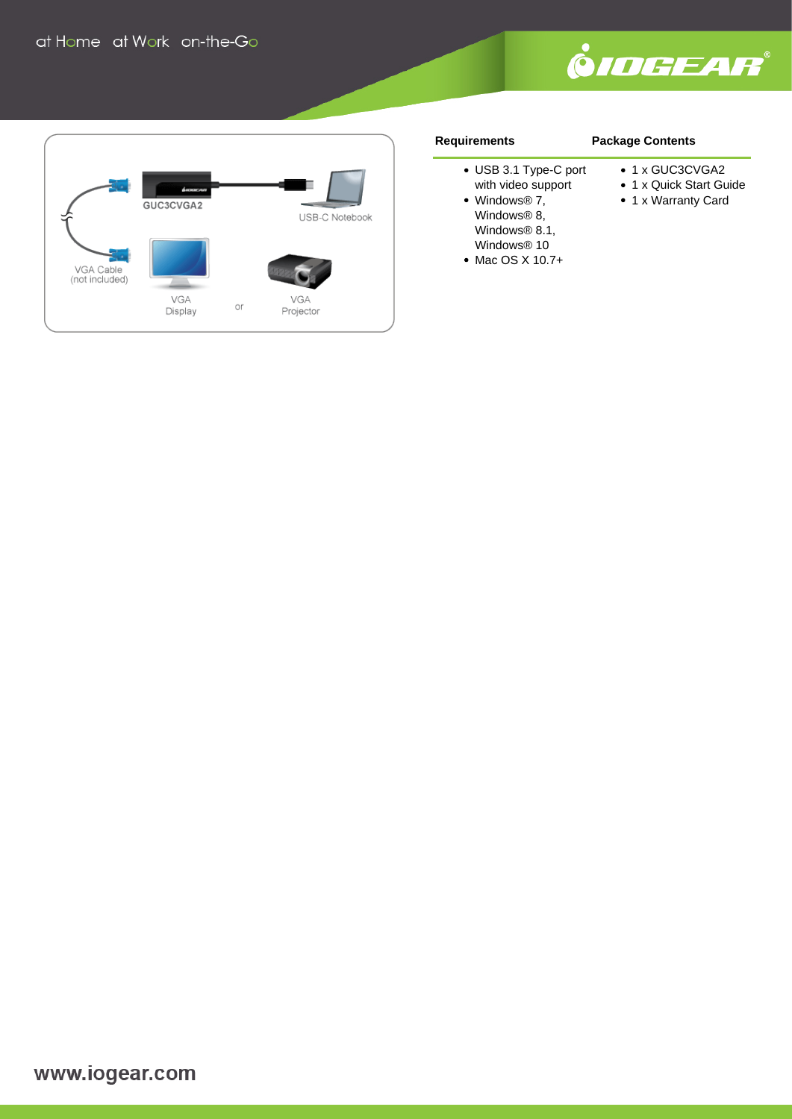



#### **Requirements**

#### **Package Contents**

● 1 x GUC3CVGA2

- USB 3.1 Type-C port
- with video support Windows® 7, Windows<sup>®</sup> 8, Windows<sup>®</sup> 8.1,

Windows® 10 • Mac OS X 10.7+

- 1 x Quick Start Guide
	- 1 x Warranty Card